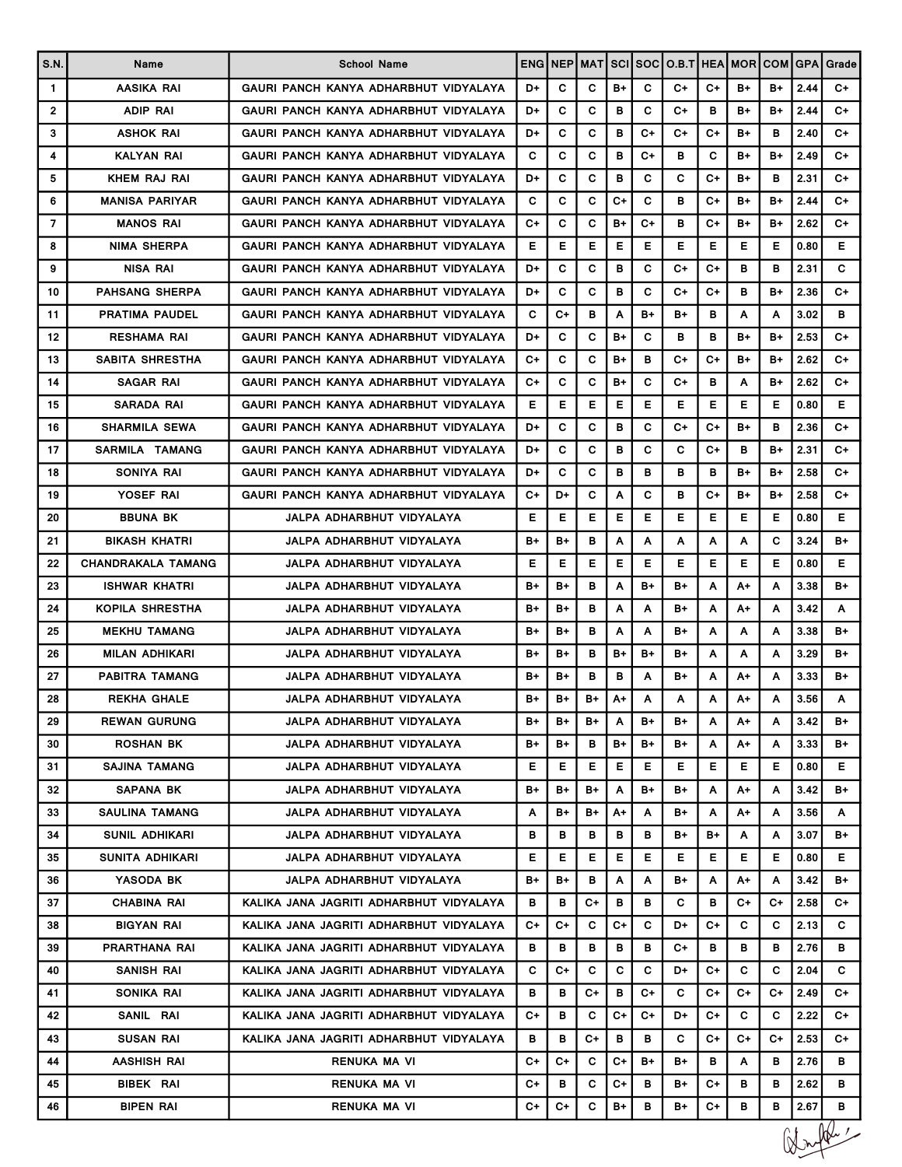| S.N.           | Name                      | <b>School Name</b>                      |      |      |    |      |      | ENG NEP MAT SCISOCIO.B.T HEAIMOR |    |    | <b>COM GPA</b> |      | Grade  |
|----------------|---------------------------|-----------------------------------------|------|------|----|------|------|----------------------------------|----|----|----------------|------|--------|
| 1              | AASIKA RAI                | GAURI PANCH KANYA ADHARBHUT VIDYALAYA   | D+   | C    | C  | B+   | C    | C+                               | C+ | B+ | B+             | 2.44 | C+     |
| $\overline{2}$ | <b>ADIP RAI</b>           | GAURI PANCH KANYA ADHARBHUT VIDYALAYA   | D+   | C    | C. | B    | C    | C+                               | в  | B+ | B+             | 2.44 | C+     |
| 3              | <b>ASHOK RAI</b>          | GAURI PANCH KANYA ADHARBHUT VIDYALAYA   | D+   | C    | C  | в    | C+   | C+                               | C+ | B+ | в              | 2.40 | C+     |
| 4              | <b>KALYAN RAI</b>         | GAURI PANCH KANYA ADHARBHUT VIDYALAYA   | C    | C    | C  | в    | $C+$ | в                                | C  | B+ | B+             | 2.49 | C+     |
| 5              | KHEM RAJ RAI              | GAURI PANCH KANYA ADHARBHUT VIDYALAYA   | D+   | C    | C  | в    | C    | C                                | C+ | B+ | в              | 2.31 | C+     |
| 6              | <b>MANISA PARIYAR</b>     | GAURI PANCH KANYA ADHARBHUT VIDYALAYA   | C    | C    | C  | $C+$ | C    | в                                | C+ | B+ | B+             | 2.44 | C+     |
| $\overline{7}$ | <b>MANOS RAI</b>          | GAURI PANCH KANYA ADHARBHUT VIDYALAYA   | $C+$ | C    | C  | B+   | $C+$ | в                                | C+ | B+ | B+             | 2.62 | C+     |
| 8              | <b>NIMA SHERPA</b>        | GAURI PANCH KANYA ADHARBHUT VIDYALAYA   | Е    | Е    | Е  | Е    | Е    | Е                                | Е  | Е  | Е              | 0.80 | Е      |
| 9              | <b>NISA RAI</b>           | GAURI PANCH KANYA ADHARBHUT VIDYALAYA   | D+   | C    | C  | в    | C    | $C+$                             | C+ | в  | в              | 2.31 | C      |
| 10             | <b>PAHSANG SHERPA</b>     | GAURI PANCH KANYA ADHARBHUT VIDYALAYA   | D+   | C    | C  | в    | C    | C+                               | C+ | в  | B+             | 2.36 | C+     |
| 11             | PRATIMA PAUDEL            | GAURI PANCH KANYA ADHARBHUT VIDYALAYA   | C    | $C+$ | в  | A    | B+   | B+                               | в  | A  | A              | 3.02 | в      |
| 12             | <b>RESHAMA RAI</b>        | GAURI PANCH KANYA ADHARBHUT VIDYALAYA   | D+   | C    | C  | $B+$ | C    | в                                | в  | B+ | B+             | 2.53 | C+     |
| 13             | SABITA SHRESTHA           | GAURI PANCH KANYA ADHARBHUT VIDYALAYA   | $C+$ | C    | C  | B+   | в    | C+                               | C+ | B+ | B+             | 2.62 | C+     |
| 14             | <b>SAGAR RAI</b>          | GAURI PANCH KANYA ADHARBHUT VIDYALAYA   | $C+$ | C    | C  | B+   | C    | C+                               | в  | Α  | B+             | 2.62 | C+     |
| 15             | <b>SARADA RAI</b>         | GAURI PANCH KANYA ADHARBHUT VIDYALAYA   | Е    | Е    | Е  | Е    | Е    | Е                                | Е  | Е  | Е              | 0.80 | Е      |
| 16             | <b>SHARMILA SEWA</b>      | GAURI PANCH KANYA ADHARBHUT VIDYALAYA   | D+   | C    | C  | в    | C    | C+                               | C+ | B+ | в              | 2.36 | C+     |
| 17             | SARMILA TAMANG            | GAURI PANCH KANYA ADHARBHUT VIDYALAYA   | D+   | C    | C  | в    | C    | C                                | C+ | в  | B+             | 2.31 | C+     |
| 18             | SONIYA RAI                | GAURI PANCH KANYA ADHARBHUT VIDYALAYA   | D+   | C    | C  | в    | в    | в                                | в  | B+ | B+             | 2.58 | C+     |
| 19             | YOSEF RAI                 | GAURI PANCH KANYA ADHARBHUT VIDYALAYA   | C+   | D+   | C  | A    | C    | в                                | C+ | B+ | B+             | 2.58 | C+     |
| 20             | <b>BBUNA BK</b>           | <b>JALPA ADHARBHUT VIDYALAYA</b>        | Е    | Е    | Е  | Е    | Е    | Е                                | Е  | Е  | Е              | 0.80 | Е      |
| 21             | <b>BIKASH KHATRI</b>      | JALPA ADHARBHUT VIDYALAYA               | B+   | B+   | в  | A    | A    | A                                | A  | A  | C              | 3.24 | B+     |
| 22             | <b>CHANDRAKALA TAMANG</b> | JALPA ADHARBHUT VIDYALAYA               | Е    | Е    | Е  | Е    | Е    | Е                                | Е  | Е  | Е              | 0.80 | Е      |
| 23             | <b>ISHWAR KHATRI</b>      | JALPA ADHARBHUT VIDYALAYA               | B+   | B+   | в  | A    | B+   | B+                               | A  | A+ | A              | 3.38 | B+     |
| 24             | KOPILA SHRESTHA           | JALPA ADHARBHUT VIDYALAYA               | B+   | B+   | в  | Α    | Α    | B+                               | A  | A+ | Α              | 3.42 | Α      |
| 25             | <b>MEKHU TAMANG</b>       | JALPA ADHARBHUT VIDYALAYA               | B+   | B+   | в  | A    | A    | B+                               | A  | A  | A              | 3.38 | B+     |
| 26             | <b>MILAN ADHIKARI</b>     | JALPA ADHARBHUT VIDYALAYA               | B+   | B+   | в  | B+   | B+   | B+                               | A  | A  | A              | 3.29 | B+     |
| 27             | <b>PABITRA TAMANG</b>     | JALPA ADHARBHUT VIDYALAYA               | B+   | B+   | B  | B    | A    | B+                               | A  | A+ | A              | 3.33 | B+     |
| 28             | <b>REKHA GHALE</b>        | JALPA ADHARBHUT VIDYALAYA               | B+   | B+   | B+ | A+   | Α    | Α                                | Α  | A+ | Α              | 3.56 | Α      |
| 29             | <b>REWAN GURUNG</b>       | JALPA ADHARBHUT VIDYALAYA               | B+   | B+   | B+ | A    | B+   | B+                               | A  | A+ | A              | 3.42 | B+     |
| 30             | <b>ROSHAN BK</b>          | JALPA ADHARBHUT VIDYALAYA               | B+   | B+   | в  | B+   | B+   | B+                               | A  | A+ | A              | 3.33 | B+     |
| 31             | <b>SAJINA TAMANG</b>      | JALPA ADHARBHUT VIDYALAYA               | Е.   | Е    | Е  | Е.   | Е.   | Е                                | Е  | Е. | Е.             | 0.80 | Е.     |
| 32             | <b>SAPANA BK</b>          | JALPA ADHARBHUT VIDYALAYA               | B+   | B+   | B+ | Α    | B+   | B+                               | Α  | A+ | Α              | 3.42 | B+     |
| 33             | SAULINA TAMANG            | JALPA ADHARBHUT VIDYALAYA               | Α    | B+   | B+ | A+   | A    | B+                               | Α  | A+ | Α              | 3.56 | Α      |
| 34             | <b>SUNIL ADHIKARI</b>     | JALPA ADHARBHUT VIDYALAYA               | в    | в    | в  | в    | в    | B+                               | B+ | A  | Α              | 3.07 | B+     |
| 35             | SUNITA ADHIKARI           | JALPA ADHARBHUT VIDYALAYA               | Е    | Е    | Е  | Е.   | Е.   | Е                                | Е  | Е. | Е.             | 0.80 | Е.     |
| 36             | YASODA BK                 | JALPA ADHARBHUT VIDYALAYA               | B+   | B+   | в  | Α    | A    | B+                               | Α  | A+ | Α              | 3.42 | B+     |
| 37             | CHABINA RAI               | KALIKA JANA JAGRITI ADHARBHUT VIDYALAYA | в    | в    | C+ | в    | в    | C                                | в  | C+ | C+             | 2.58 | C+     |
| 38             | BIGYAN RAI                | KALIKA JANA JAGRITI ADHARBHUT VIDYALAYA | C+   | C+   | C  | C+   | C    | D+                               | C+ | C  | C              | 2.13 | C      |
| 39             | PRARTHANA RAI             | KALIKA JANA JAGRITI ADHARBHUT VIDYALAYA | в    | в    | в  | в    | в    | C+                               | в  | в  | в              | 2.76 | в      |
| 40             | SANISH RAI                | KALIKA JANA JAGRITI ADHARBHUT VIDYALAYA | С    | C+   | c  | С    | C    | D+                               | C+ | C  | C              | 2.04 | C      |
| 41             | SONIKA RAI                | KALIKA JANA JAGRITI ADHARBHUT VIDYALAYA | в    | в    | C+ | в    | C+   | C                                | C+ | C+ | C+             | 2.49 | C+     |
| 42             | SANIL RAI                 | KALIKA JANA JAGRITI ADHARBHUT VIDYALAYA | C+   | в    | C  | C+   | C+   | D+                               | C+ | C  | C              | 2.22 | C+     |
| 43             | <b>SUSAN RAI</b>          | KALIKA JANA JAGRITI ADHARBHUT VIDYALAYA | в    | в    | C+ | в    | в    | C                                | C+ | C+ | C+             | 2.53 | C+     |
| 44             | AASHISH RAI               | <b>RENUKA MA VI</b>                     | C+   | C+   | c  | C+   | B+   | B+                               | в  | Α  | в              | 2.76 | в      |
| 45             | BIBEK RAI                 | <b>RENUKA MA VI</b>                     | C+   | в    | C  | C+   | в    | B+                               | C+ | в  | в              | 2.62 | В      |
| 46             | BIPEN RAI                 | RENUKA MA VI                            | C+   | C+   | C  | B+   | в    | B+                               | C+ | в  | в              | 2.67 | в      |
|                |                           |                                         |      |      |    |      |      |                                  |    |    |                |      | Write, |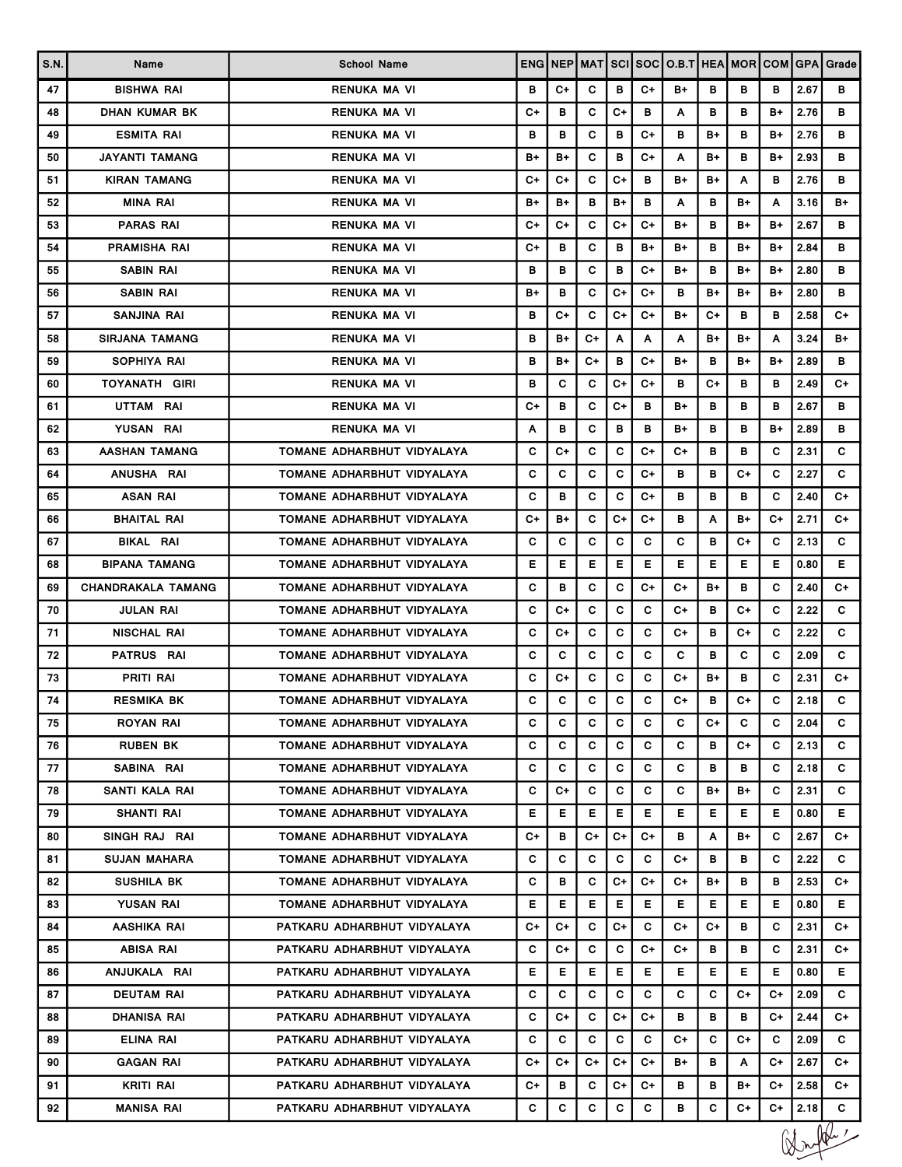| S.N. | Name                      | <b>School Name</b>          |      |      |    |      |    | ENG NEP MAT SCISOCIO.B.T HEA MORICOM GPA Grade |    |    |    |      |        |
|------|---------------------------|-----------------------------|------|------|----|------|----|------------------------------------------------|----|----|----|------|--------|
| 47   | <b>BISHWA RAI</b>         | <b>RENUKA MA VI</b>         | в    | C+   | C  | в    | C+ | B+                                             | в  | в  | в  | 2.67 | в      |
| 48   | <b>DHAN KUMAR BK</b>      | <b>RENUKA MA VI</b>         | C+   | в    | C  | C+   | в  | A                                              | в  | в  | B+ | 2.76 | в      |
| 49   | <b>ESMITA RAI</b>         | <b>RENUKA MA VI</b>         | в    | в    | C  | в    | C+ | в                                              | B+ | в  | B+ | 2.76 | в      |
| 50   | JAYANTI TAMANG            | <b>RENUKA MA VI</b>         | B+   | B+   | C  | в    | C+ | A                                              | B+ | в  | B+ | 2.93 | в      |
| 51   | <b>KIRAN TAMANG</b>       | <b>RENUKA MA VI</b>         | C+   | C+   | C  | C+   | в  | B+                                             | B+ | A  | в  | 2.76 | в      |
| 52   | <b>MINA RAI</b>           | <b>RENUKA MA VI</b>         | $B+$ | B+   | в  | $B+$ | в  | Α                                              | в  | B+ | Α  | 3.16 | B+     |
| 53   | <b>PARAS RAI</b>          | <b>RENUKA MA VI</b>         | C+   | $C+$ | C  | C+   | C+ | B+                                             | в  | B+ | B+ | 2.67 | в      |
| 54   | PRAMISHA RAI              | <b>RENUKA MA VI</b>         | C+   | в    | C  | в    | B+ | B+                                             | в  | B+ | B+ | 2.84 | в      |
| 55   | <b>SABIN RAI</b>          | <b>RENUKA MA VI</b>         | в    | в    | C  | в    | C+ | B+                                             | в  | B+ | B+ | 2.80 | в      |
| 56   | <b>SABIN RAI</b>          | RENUKA MA VI                | B+   | в    | C  | C+   | C+ | в                                              | B+ | B+ | B+ | 2.80 | в      |
| 57   | SANJINA RAI               | RENUKA MA VI                | в    | C+   | C  | C+   | C+ | B+                                             | C+ | в  | в  | 2.58 | C+     |
| 58   | <b>SIRJANA TAMANG</b>     | <b>RENUKA MA VI</b>         | в    | B+   | C+ | Α    | A  | A                                              | B+ | B+ | Α  | 3.24 | B+     |
| 59   | SOPHIYA RAI               | RENUKA MA VI                | в    | B+   | C+ | в    | C+ | B+                                             | в  | B+ | B+ | 2.89 | в      |
| 60   | TOYANATH GIRI             | <b>RENUKA MA VI</b>         | в    | C    | C  | C+   | C+ | в                                              | C+ | в  | в  | 2.49 | C+     |
| 61   | UTTAM RAI                 | <b>RENUKA MA VI</b>         | C+   | B    | C  | $C+$ | B  | B+                                             | в  | в  | в  | 2.67 | в      |
| 62   | YUSAN RAI                 | <b>RENUKA MA VI</b>         | A    | в    | C  | в    | в  | B+                                             | в  | в  | B+ | 2.89 | в      |
| 63   | AASHAN TAMANG             | TOMANE ADHARBHUT VIDYALAYA  | c    | C+   | C  | С    | C+ | C+                                             | в  | в  | C  | 2.31 | C      |
| 64   | ANUSHA RAI                | TOMANE ADHARBHUT VIDYALAYA  | C    | C    | C  | C    | C+ | в                                              | в  | C+ | C  | 2.27 | C      |
| 65   | <b>ASAN RAI</b>           | TOMANE ADHARBHUT VIDYALAYA  | C    | в    | C  | C    | C+ | в                                              | в  | в  | C  | 2.40 | C+     |
| 66   | <b>BHAITAL RAI</b>        | TOMANE ADHARBHUT VIDYALAYA  | C+   | B+   | C  | C+   | C+ | в                                              | A  | B+ | C+ | 2.71 | C+     |
| 67   | BIKAL RAI                 | TOMANE ADHARBHUT VIDYALAYA  | C    | C    | C  | C    | C  | C                                              | в  | C+ | C  | 2.13 | C      |
| 68   | <b>BIPANA TAMANG</b>      | TOMANE ADHARBHUT VIDYALAYA  | Е    | Е    | Е  | Е    | Е  | Е                                              | Е  | Е. | Е  | 0.80 | Е.     |
| 69   | <b>CHANDRAKALA TAMANG</b> | TOMANE ADHARBHUT VIDYALAYA  | c    | B    | C  | C    | C+ | C+                                             | B+ | в  | C  | 2.40 | C+     |
| 70   | <b>JULAN RAI</b>          | TOMANE ADHARBHUT VIDYALAYA  | c    | C+   | C  | C    | C  | C+                                             | в  | C+ | С  | 2.22 | C      |
| 71   | <b>NISCHAL RAI</b>        | TOMANE ADHARBHUT VIDYALAYA  | c    | C+   | C  | C    | C  | C+                                             | в  | C+ | C  | 2.22 | C      |
| 72   | <b>PATRUS RAI</b>         | TOMANE ADHARBHUT VIDYALAYA  | c    | C    | C  | C    | C  | C                                              | в  | C  | C  | 2.09 | C      |
| 73   | PRITI RAI                 | TOMANE ADHARBHUT VIDYALAYA  | C    | $C+$ | C  | c    | C  | C+                                             | B+ | в  | C  | 2.31 | C+     |
| 74   | <b>RESMIKA BK</b>         | TOMANE ADHARBHUT VIDYALAYA  | С    | C    | C  | c    | C  | C+                                             | в  | C+ | C  | 2.18 | C      |
| 75   | <b>ROYAN RAI</b>          | TOMANE ADHARBHUT VIDYALAYA  | C    | С    | C  | С    | C  | C                                              | C+ | C  | C  | 2.04 | C      |
| 76   | <b>RUBEN BK</b>           | TOMANE ADHARBHUT VIDYALAYA  | C    | C    | C  | С    | C  | C                                              | в  | C+ | C  | 2.13 | C.     |
| 77   | SABINA RAI                | TOMANE ADHARBHUT VIDYALAYA  | С    | c    | C  | С    | C  | С                                              | в  | в  | C  | 2.18 | C      |
| 78   | SANTI KALA RAI            | TOMANE ADHARBHUT VIDYALAYA  | C    | C+   | C  | С    | C  | C                                              | B+ | B+ | C  | 2.31 | C      |
| 79   | SHANTI RAI                | TOMANE ADHARBHUT VIDYALAYA  | E.   | Е    | Е  | Е.   | Е  | Е                                              | Е. | Е. | Е. | 0.80 | E.     |
| 80   | SINGH RAJ RAI             | TOMANE ADHARBHUT VIDYALAYA  | C+   | в    | C+ | C+   | C+ | в                                              | A  | B+ | C. | 2.67 | C+     |
| 81   | SUJAN MAHARA              | TOMANE ADHARBHUT VIDYALAYA  | С    | C    | C  | С    | C  | C+                                             | в  | в  | C  | 2.22 | C.     |
| 82   | SUSHILA BK                | TOMANE ADHARBHUT VIDYALAYA  | C    | в    | C  | C+   | C+ | C+                                             | B+ | в  | в  | 2.53 | C+     |
| 83   | YUSAN RAI                 | TOMANE ADHARBHUT VIDYALAYA  | Е.   | Е    | Е  | Е    | Е  | Е                                              | Е. | Е. | Е. | 0.80 | Е.     |
| 84   | AASHIKA RAI               | PATKARU ADHARBHUT VIDYALAYA | C+   | C+   | C  | C+   | C  | C+                                             | C+ | в  | C  | 2.31 | C+     |
| 85   | <b>ABISA RAI</b>          | PATKARU ADHARBHUT VIDYALAYA | C    | C+   | C  | C    | C+ | C+                                             | в  | в  | C  | 2.31 | C+     |
| 86   | ANJUKALA RAI              | PATKARU ADHARBHUT VIDYALAYA | E.   | Е    | Е  | Е.   | Е  | E.                                             | Е. | Е. | Е. | 0.80 | Е.     |
| 87   | DEUTAM RAI                | PATKARU ADHARBHUT VIDYALAYA | C    | С    | C  | С    | C  | C                                              | C  | C+ | C+ | 2.09 | C.     |
| 88   | DHANISA RAI               | PATKARU ADHARBHUT VIDYALAYA | С    | C+   | C  | C+   | C+ | в                                              | в  | в  | C+ | 2.44 | C+     |
| 89   | ELINA RAI                 | PATKARU ADHARBHUT VIDYALAYA | C    | C    | C  | C    | C  | C+                                             | C  | C+ | C  | 2.09 | C.     |
| 90   | <b>GAGAN RAI</b>          | PATKARU ADHARBHUT VIDYALAYA | C+   | C+   | C+ | C+   | C+ | B+                                             | в  | A  | C+ | 2.67 | C+     |
| 91   | KRITI RAI                 | PATKARU ADHARBHUT VIDYALAYA | C+   | в    | C  | C+   | C+ | в                                              | в  | B+ | C+ | 2.58 | C+     |
| 92   | MANISA RAI                | PATKARU ADHARBHUT VIDYALAYA | С    | C    | C  | С    | C  | в                                              | C  | C+ | C+ | 2.18 | C.     |
|      |                           |                             |      |      |    |      |    |                                                |    |    |    |      | Sulla! |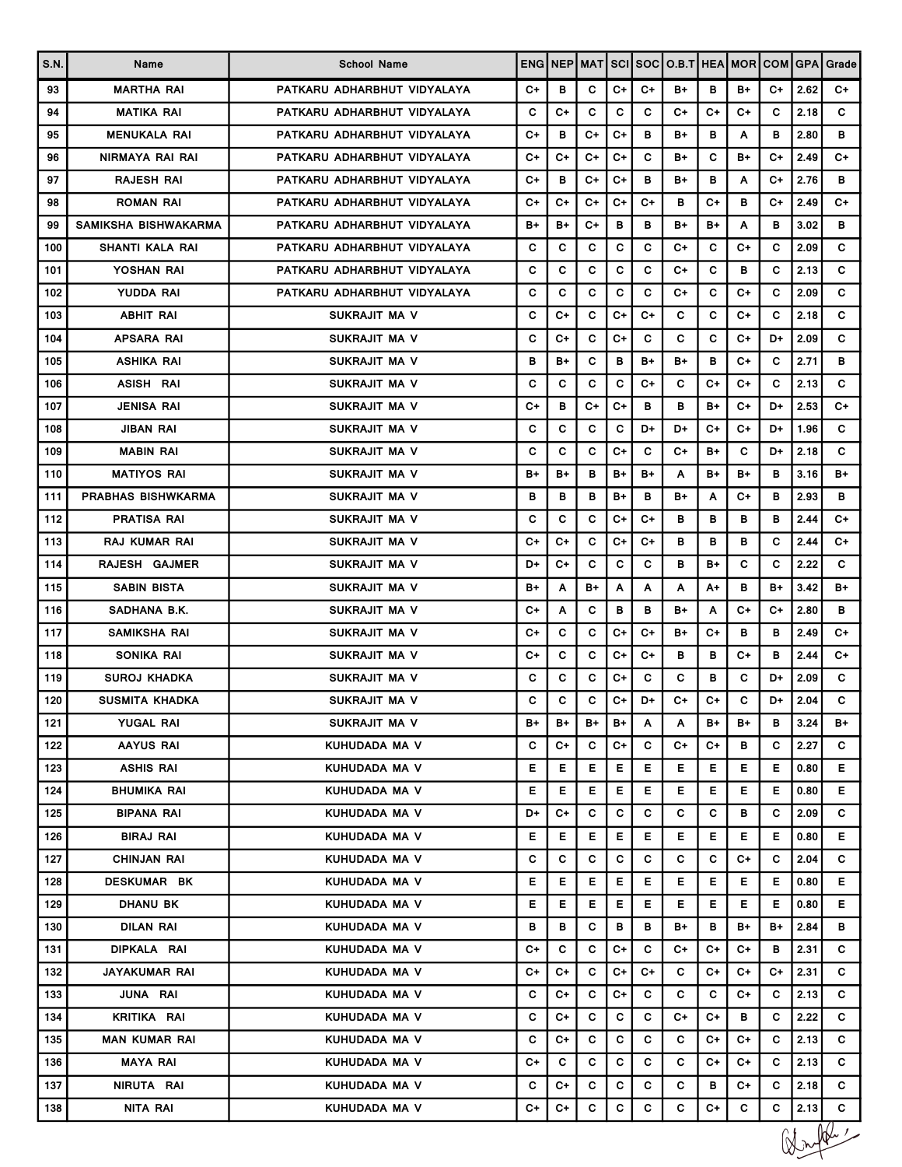| S.N. | Name                      | <b>School Name</b>          |      |    |    |      |      | ENG NEP MAT SCISOC O.B.T HEA MOR COM GPA |      |    |    |      | Grade    |
|------|---------------------------|-----------------------------|------|----|----|------|------|------------------------------------------|------|----|----|------|----------|
| 93   | <b>MARTHA RAI</b>         | PATKARU ADHARBHUT VIDYALAYA | C+   | в  | C  | C+   | $C+$ | B+                                       | в    | B+ | C+ | 2.62 | C+       |
| 94   | <b>MATIKA RAI</b>         | PATKARU ADHARBHUT VIDYALAYA | C    | C+ | C  | C    | C    | $C+$                                     | C+   | C+ | C  | 2.18 | C        |
| 95   | <b>MENUKALA RAI</b>       | PATKARU ADHARBHUT VIDYALAYA | C+   | в  | C+ | $C+$ | в    | B+                                       | в    | Α  | в  | 2.80 | в        |
| 96   | NIRMAYA RAI RAI           | PATKARU ADHARBHUT VIDYALAYA | C+   | C+ | C+ | $C+$ | C    | B+                                       | C    | B+ | C+ | 2.49 | C+       |
| 97   | <b>RAJESH RAI</b>         | PATKARU ADHARBHUT VIDYALAYA | $C+$ | в  | C+ | $C+$ | в    | B+                                       | в    | A  | C+ | 2.76 | в        |
| 98   | <b>ROMAN RAI</b>          | PATKARU ADHARBHUT VIDYALAYA | C+   | C+ | C+ | $C+$ | $C+$ | в                                        | C+   | в  | C+ | 2.49 | C+       |
| 99   | SAMIKSHA BISHWAKARMA      | PATKARU ADHARBHUT VIDYALAYA | B+   | B+ | C+ | в    | в    | B+                                       | B+   | A  | в  | 3.02 | в        |
| 100  | SHANTI KALA RAI           | PATKARU ADHARBHUT VIDYALAYA | c    | C  | C  | c    | C    | C+                                       | C    | C+ | C  | 2.09 | С        |
| 101  | YOSHAN RAI                | PATKARU ADHARBHUT VIDYALAYA | c    | C  | C  | C    | C    | C+                                       | C    | в  | C  | 2.13 | C        |
| 102  | YUDDA RAI                 | PATKARU ADHARBHUT VIDYALAYA | c    | C  | C  | C    | C    | C+                                       | C    | C+ | C  | 2.09 | C        |
| 103  | <b>ABHIT RAI</b>          | SUKRAJIT MA V               | c    | C+ | C  | $C+$ | $C+$ | C                                        | C    | C+ | C  | 2.18 | C        |
| 104  | <b>APSARA RAI</b>         | SUKRAJIT MA V               | c    | C+ | C  | $C+$ | C    | C                                        | C    | C+ | D+ | 2.09 | C        |
| 105  | ASHIKA RAI                | SUKRAJIT MA V               | в    | B+ | C  | в    | B+   | B+                                       | в    | C+ | C  | 2.71 | в        |
| 106  | ASISH RAI                 | SUKRAJIT MA V               | c    | C  | C  | C    | $C+$ | C                                        | C+   | C+ | C  | 2.13 | C        |
| 107  | <b>JENISA RAI</b>         | SUKRAJIT MA V               | $C+$ | в  | C+ | $C+$ | в    | в                                        | B+   | C+ | D+ | 2.53 | C+       |
| 108  | <b>JIBAN RAI</b>          | SUKRAJIT MA V               | c    | C  | C  | C    | D+   | D+                                       | C+   | C+ | D+ | 1.96 | C        |
| 109  | <b>MABIN RAI</b>          | SUKRAJIT MA V               | c    | C  | C  | $C+$ | C    | C+                                       | B+   | C  | D+ | 2.18 | C        |
| 110  | <b>MATIYOS RAI</b>        | SUKRAJIT MA V               | B+   | B+ | в  | B+   | B+   | A                                        | B+   | B+ | в  | 3.16 | B+       |
| 111  | <b>PRABHAS BISHWKARMA</b> | SUKRAJIT MA V               | в    | в  | в  | $B+$ | в    | B+                                       | A    | C+ | в  | 2.93 | в        |
| 112  | <b>PRATISA RAI</b>        | SUKRAJIT MA V               | c    | C  | C  | $C+$ | $C+$ | в                                        | в    | в  | в  | 2.44 | $C+$     |
| 113  | <b>RAJ KUMAR RAI</b>      | SUKRAJIT MA V               | $C+$ | C+ | C  | $C+$ | $C+$ | в                                        | в    | в  | C  | 2.44 | C+       |
| 114  | RAJESH GAJMER             | SUKRAJIT MA V               | D+   | C+ | C  | C    | C    | в                                        | B+   | C  | C  | 2.22 | C        |
| 115  | <b>SABIN BISTA</b>        | SUKRAJIT MA V               | B+   | A  | B+ | A    | A    | A                                        | A+   | в  | B+ | 3.42 | B+       |
| 116  | SADHANA B.K.              | SUKRAJIT MA V               | C+   | Α  | C  | в    | в    | B+                                       | A    | C+ | C+ | 2.80 | в        |
| 117  | SAMIKSHA RAI              | SUKRAJIT MA V               | C+   | C  | C  | $C+$ | $C+$ | B+                                       | C+   | в  | в  | 2.49 | C+       |
| 118  | <b>SONIKA RAI</b>         | <b>SUKRAJIT MA V</b>        | C+   | C  | C  | C+   | $C+$ | в                                        | в    | C+ | в  | 2.44 | C+       |
| 119  | <b>SUROJ KHADKA</b>       | SUKRAJIT MA V               | c    | C  | C  | $C+$ | C    | C                                        | в    | C  | D+ | 2.09 | C        |
| 120  | SUSMITA KHADKA            | SUKRAJIT MA V               | С    | C  | C  | $C+$ | D+   | $C+$                                     | $C+$ | C  | D+ | 2.04 | C        |
| 121  | YUGAL RAI                 | SUKRAJIT MA V               | B+   | B+ | B+ | B+   | Α    | A                                        | B+   | B+ | в  | 3.24 | B+       |
| 122  | AAYUS RAI                 | KUHUDADA MA V               | c    | C+ | C  | C+   | C    | C+                                       | C+   | в  | C  | 2.27 | C.       |
| 123  | <b>ASHIS RAI</b>          | KUHUDADA MA V               | Е.   | Е  | Е  | Е.   | Е,   | Е.                                       | Е,   | Е. | Е. | 0.80 | Е.       |
| 124  | <b>BHUMIKA RAI</b>        | KUHUDADA MA V               | Е    | Е  | Е. | Е.   | Е.   | Е.                                       | Е.   | Е. | Е. | 0.80 | Е.       |
| 125  | <b>BIPANA RAI</b>         | KUHUDADA MA V               | D+   | C+ | C  | С    | С    | С                                        | C    | В  | C  | 2.09 | C        |
| 126  | <b>BIRAJ RAI</b>          | KUHUDADA MA V               | Е.   | Е  | Е. | Е.   | Е.   | Е                                        | Е.   | Е. | Е. | 0.80 | Е.       |
| 127  | CHINJAN RAI               | KUHUDADA MA V               | С    | С  | C  | С    | С    | C                                        | C    | C+ | C  | 2.04 | C        |
| 128  | <b>DESKUMAR BK</b>        | KUHUDADA MA V               | Е.   | Е  | Е. | Е.   | Е.   | Е.                                       | Е    | Е. | Е. | 0.80 | Е.       |
| 129  | <b>DHANU BK</b>           | KUHUDADA MA V               | Е.   | Е  | Е. | Е.   | Е.   | Е.                                       | Е    | Е. | Е. | 0.80 | Е.       |
| 130  | DILAN RAI                 | KUHUDADA MA V               | в    | в  | C  | в    | в    | B+                                       | в    | B+ | B+ | 2.84 | в        |
| 131  | DIPKALA RAI               | KUHUDADA MA V               | C+   | C  | C  | C+   | C    | C+                                       | C+   | C+ | в  | 2.31 | C.       |
| 132  | JAYAKUMAR RAI             | KUHUDADA MA V               | C+   | C+ | C  | C+   | C+   | С                                        | C+   | C+ | C+ | 2.31 | C        |
| 133  | JUNA RAI                  | KUHUDADA MA V               | С    | C+ | C  | C+   | C    | С                                        | C    | C+ | C  | 2.13 | C.       |
| 134  | KRITIKA RAI               | KUHUDADA MA V               | С    | C+ | C  | С    | С    | C+                                       | C+   | В  | C  | 2.22 | C        |
| 135  | <b>MAN KUMAR RAI</b>      | KUHUDADA MA V               | C    | C+ | C  | C    | C    | C                                        | C+   | C+ | C. | 2.13 | C.       |
| 136  | <b>MAYA RAI</b>           | KUHUDADA MA V               | C+   | С  | C  | C    | C    | С                                        | C+   | C+ | C  | 2.13 | C        |
| 137  | NIRUTA RAI                | KUHUDADA MA V               | c    | C+ | C  | C    | C    | С                                        | в    | C+ | C  | 2.18 | C.       |
| 138  | NITA RAI                  | KUHUDADA MA V               | C+   | C+ | C  | С    | c    | С                                        | C+   | C  | C  | 2.13 | C        |
|      |                           |                             |      |    |    |      |      |                                          |      |    |    |      | Window ! |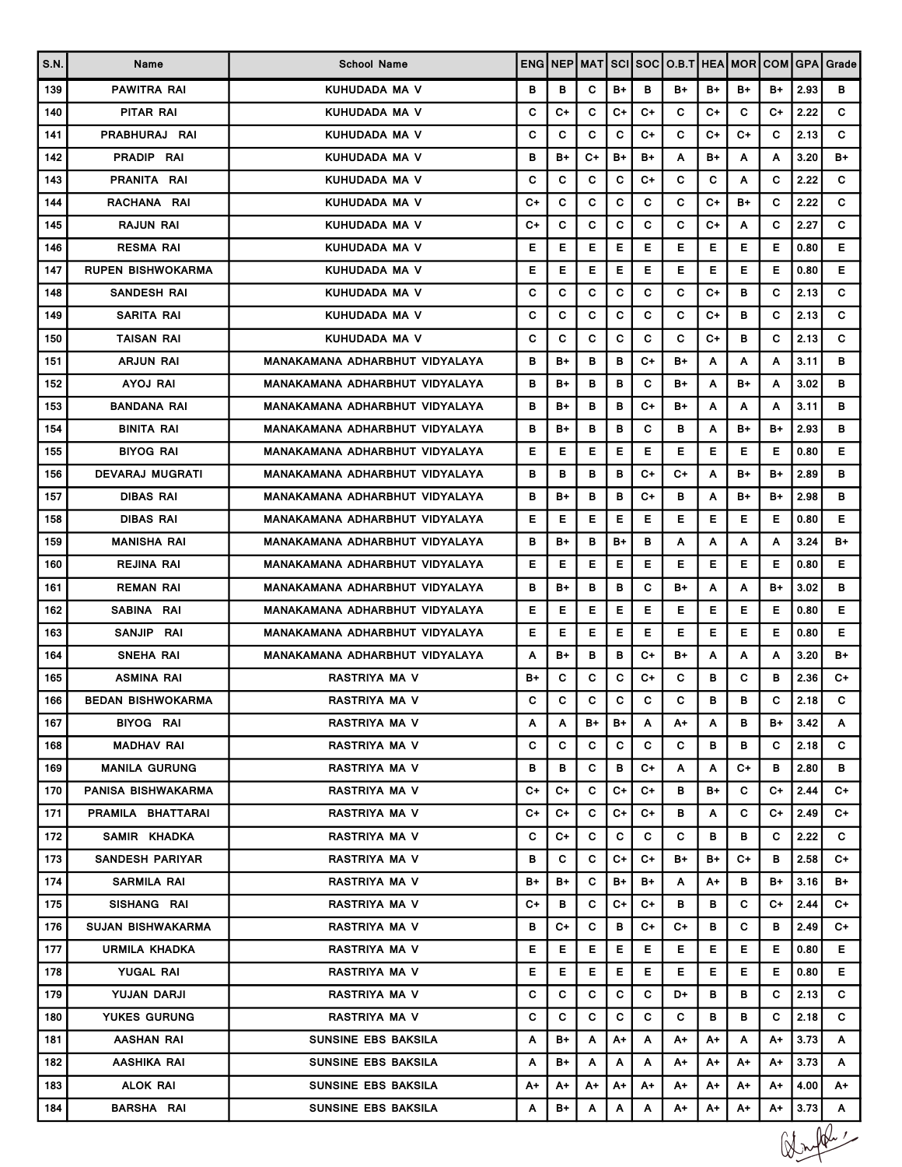| S.N. | Name                     | <b>School Name</b>             |      |    |    |    |    | ENG NEP MAT SCISOCIO.B.T HEA MORICOM GPA Grade |      |    |      |      |        |
|------|--------------------------|--------------------------------|------|----|----|----|----|------------------------------------------------|------|----|------|------|--------|
| 139  | PAWITRA RAI              | KUHUDADA MA V                  | в    | в  | C  | B+ | в  | B+                                             | B+   | B+ | B+   | 2.93 | в      |
| 140  | PITAR RAI                | KUHUDADA MA V                  | C    | C+ | C  | C+ | C+ | C                                              | C+   | C  | C+   | 2.22 | C      |
| 141  | PRABHURAJ RAI            | KUHUDADA MA V                  | c    | C  | C  | C  | C+ | C                                              | C+   | C+ | C    | 2.13 | C      |
| 142  | PRADIP RAI               | KUHUDADA MA V                  | в    | B+ | C+ | B+ | B+ | Α                                              | B+   | A  | Α    | 3.20 | B+     |
| 143  | PRANITA RAI              | KUHUDADA MA V                  | C    | C  | C  | C  | C+ | C                                              | C    | A  | C    | 2.22 | C      |
| 144  | RACHANA RAI              | KUHUDADA MA V                  | $C+$ | C  | C  | C  | C  | C                                              | C+   | B+ | C    | 2.22 | C      |
| 145  | <b>RAJUN RAI</b>         | KUHUDADA MA V                  | $C+$ | C  | C  | C  | C  | C                                              | C+   | A  | C    | 2.27 | C      |
| 146  | <b>RESMA RAI</b>         | KUHUDADA MA V                  | Е    | Е  | Е  | Е  | Е  | Е                                              | Е    | E. | Е    | 0.80 | Е      |
| 147  | <b>RUPEN BISHWOKARMA</b> | KUHUDADA MA V                  | Е    | Е  | Е  | Е  | Е  | Е                                              | Е    | Е  | Е    | 0.80 | Е      |
| 148  | <b>SANDESH RAI</b>       | KUHUDADA MA V                  | c    | C  | C  | С  | C  | C                                              | $C+$ | в  | C    | 2.13 | C      |
| 149  | SARITA RAI               | KUHUDADA MA V                  | C    | C  | C  | c  | C  | C                                              | C+   | в  | C    | 2.13 | C      |
| 150  | TAISAN RAI               | KUHUDADA MA V                  | C    | C  | C  | c  | C  | C                                              | C+   | в  | C    | 2.13 | C      |
| 151  | <b>ARJUN RAI</b>         | MANAKAMANA ADHARBHUT VIDYALAYA | в    | B+ | в  | в  | C+ | B+                                             | A    | A  | Α    | 3.11 | в      |
| 152  | <b>AYOJ RAI</b>          | MANAKAMANA ADHARBHUT VIDYALAYA | в    | B+ | в  | в  | C  | B+                                             | A    | B+ | Α    | 3.02 | в      |
| 153  | <b>BANDANA RAI</b>       | MANAKAMANA ADHARBHUT VIDYALAYA | в    | B+ | в  | в  | C+ | B+                                             | A    | A  | A    | 3.11 | в      |
| 154  | <b>BINITA RAI</b>        | MANAKAMANA ADHARBHUT VIDYALAYA | в    | B+ | в  | в  | C  | B                                              | A    | B+ | $B+$ | 2.93 | в      |
| 155  | <b>BIYOG RAI</b>         | MANAKAMANA ADHARBHUT VIDYALAYA | Е    | Е  | Е  | Е  | Е  | Е                                              | Е    | Е  | Е    | 0.80 | Е      |
| 156  | <b>DEVARAJ MUGRATI</b>   | MANAKAMANA ADHARBHUT VIDYALAYA | в    | в  | в  | в  | C+ | C+                                             | A    | B+ | B+   | 2.89 | в      |
| 157  | <b>DIBAS RAI</b>         | MANAKAMANA ADHARBHUT VIDYALAYA | в    | B+ | в  | в  | C+ | в                                              | A    | B+ | B+   | 2.98 | в      |
| 158  | <b>DIBAS RAI</b>         | MANAKAMANA ADHARBHUT VIDYALAYA | Е    | Е  | Е  | Е  | Е  | Е                                              | Е    | Е. | Е    | 0.80 | Е.     |
| 159  | <b>MANISHA RAI</b>       | MANAKAMANA ADHARBHUT VIDYALAYA | в    | B+ | в  | B+ | в  | Α                                              | Α    | A  | Α    | 3.24 | B+     |
| 160  | <b>REJINA RAI</b>        | MANAKAMANA ADHARBHUT VIDYALAYA | Е    | Е  | Е  | Е  | Е  | Е                                              | Е    | E. | Е    | 0.80 | Е      |
| 161  | <b>REMAN RAI</b>         | MANAKAMANA ADHARBHUT VIDYALAYA | в    | B+ | в  | в  | C  | B+                                             | A    | A  | B+   | 3.02 | в      |
| 162  | SABINA RAI               | MANAKAMANA ADHARBHUT VIDYALAYA | Е    | Е  | Е  | Е  | Е  | Е                                              | Е    | Е  | Е    | 0.80 | Е.     |
| 163  | SANJIP RAI               | MANAKAMANA ADHARBHUT VIDYALAYA | Е    | Е  | Е  | Е  | Е  | Е                                              | Е    | E. | Е    | 0.80 | Е.     |
| 164  | <b>SNEHA RAI</b>         | MANAKAMANA ADHARBHUT VIDYALAYA | Α    | B+ | в  | в  | C+ | B+                                             | Α    | Α  | Α    | 3.20 | B+     |
| 165  | <b>ASMINA RAI</b>        | <b>RASTRIYA MA V</b>           | B+   | C  | C  | c  | C+ | C                                              | в    | C  | в    | 2.36 | C+     |
| 166  | <b>BEDAN BISHWOKARMA</b> | RASTRIYA MA V                  | С    | С  | C  | C  | С  | С                                              | в    | в  | C    | 2.18 | C      |
| 167  | BIYOG RAI                | RASTRIYA MA V                  | Α    | A  | B+ | B+ | Α  | A+                                             | A    | в  | B+   | 3.42 | A      |
| 168  | <b>MADHAV RAI</b>        | RASTRIYA MA V                  | c    | C  | C  | С  | C  | C                                              | в    | в  | C    | 2.18 | C.     |
| 169  | <b>MANILA GURUNG</b>     | RASTRIYA MA V                  | в    | в  | C  | в  | C+ | Α                                              | A    | C+ | в    | 2.80 | в      |
| 170  | PANISA BISHWAKARMA       | RASTRIYA MA V                  | C+   | C+ | C  | C+ | C+ | в                                              | B+   | C  | C+   | 2.44 | C+     |
| 171  | PRAMILA BHATTARAI        | RASTRIYA MA V                  | C+   | C+ | C  | C+ | C+ | в                                              | A    | C  | C+   | 2.49 | C+     |
| 172  | SAMIR KHADKA             | RASTRIYA MA V                  | C    | C+ | C  | C  | C  | C                                              | в    | в  | C.   | 2.22 | C.     |
| 173  | <b>SANDESH PARIYAR</b>   | <b>RASTRIYA MA V</b>           | в    | C  | C  | C+ | C+ | B+                                             | B+   | C+ | в    | 2.58 | C+     |
| 174  | SARMILA RAI              | RASTRIYA MA V                  | B+   | B+ | C  | B+ | B+ | A                                              | A+   | в  | B+   | 3.16 | B+     |
| 175  | SISHANG RAI              | RASTRIYA MA V                  | C+   | в  | C  | C+ | C+ | в                                              | в    | C  | C+   | 2.44 | C+     |
| 176  | SUJAN BISHWAKARMA        | RASTRIYA MA V                  | в    | C+ | C  | в  | C+ | C+                                             | в    | C  | в    | 2.49 | C+     |
| 177  | URMILA KHADKA            | RASTRIYA MA V                  | Е.   | Е  | Е. | Е. | Е. | Е.                                             | Е.   | Е. | Е.   | 0.80 | Е.     |
| 178  | YUGAL RAI                | RASTRIYA MA V                  | Е    | Е  | Е. | Е. | Е  | Е                                              | Е.   | Е. | Е.   | 0.80 | Е.     |
| 179  | YUJAN DARJI              | RASTRIYA MA V                  | c    | С  | C  | C  | C  | D+                                             | в    | в  | C    | 2.13 | C.     |
| 180  | YUKES GURUNG             | <b>RASTRIYA MA V</b>           | С    | С  | C  | С  | C  | C                                              | в    | в  | C    | 2.18 | C.     |
| 181  | AASHAN RAI               | SUNSINE EBS BAKSILA            | Α    | B+ | Α  | A+ | A  | A+                                             | A+   | Α  | A+   | 3.73 | A      |
| 182  | AASHIKA RAI              | SUNSINE EBS BAKSILA            | A    | B+ | Α  | A  | A  | A+                                             | A+   | A+ | A+   | 3.73 | A      |
| 183  | ALOK RAI                 | SUNSINE EBS BAKSILA            | A+   | A+ | A+ | A+ | A+ | A+                                             | A+   | A+ | A+   | 4.00 | A+     |
| 184  | BARSHA RAI               | SUNSINE EBS BAKSILA            | Α    | B+ | A  | Α  | Α  | A+                                             | A+   | A+ | A+   | 3.73 | A      |
|      |                          |                                |      |    |    |    |    |                                                |      |    |      |      | Write: |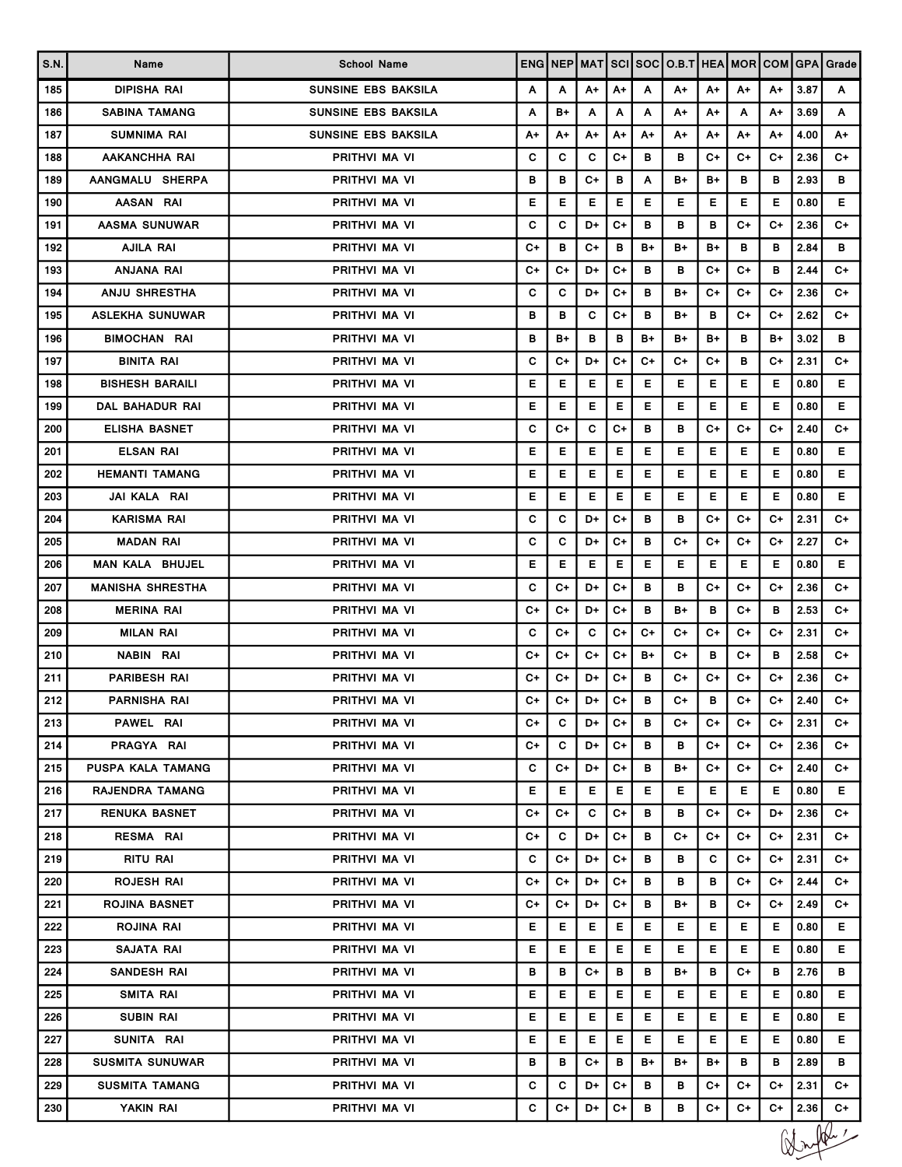| S.N. | Name                     | <b>School Name</b>         |    |      |    |      |    | ENG NEP MAT SCISOCO.B.T HEA MOR COM GPA |      |    |    |      | Grade   |
|------|--------------------------|----------------------------|----|------|----|------|----|-----------------------------------------|------|----|----|------|---------|
| 185  | <b>DIPISHA RAI</b>       | <b>SUNSINE EBS BAKSILA</b> | Α  | A    | A+ | A+   | Α  | $A+$                                    | A+   | A+ | A+ | 3.87 | Α       |
| 186  | <b>SABINA TAMANG</b>     | <b>SUNSINE EBS BAKSILA</b> | Α  | B+   | A  | Α    | A  | A+                                      | A+   | A  | A+ | 3.69 | A       |
| 187  | <b>SUMNIMA RAI</b>       | <b>SUNSINE EBS BAKSILA</b> | A+ | A+   | A+ | A+   | A+ | A+                                      | A+   | A+ | A+ | 4.00 | A+      |
| 188  | AAKANCHHA RAI            | PRITHVI MA VI              | c  | C    | C  | C+   | в  | в                                       | C+   | C+ | C+ | 2.36 | C+      |
| 189  | AANGMALU SHERPA          | PRITHVI MA VI              | в  | в    | C+ | в    | Α  | B+                                      | B+   | в  | в  | 2.93 | в       |
| 190  | AASAN RAI                | PRITHVI MA VI              | Е  | Е    | Е  | Е    | Е  | Е                                       | Е    | Е. | Е  | 0.80 | Е.      |
| 191  | AASMA SUNUWAR            | PRITHVI MA VI              | c  | C    | D+ | C+   | в  | в                                       | в    | C+ | C+ | 2.36 | C+      |
| 192  | <b>AJILA RAI</b>         | PRITHVI MA VI              | C+ | в    | C+ | в    | B+ | B+                                      | B+   | в  | в  | 2.84 | в       |
| 193  | <b>ANJANA RAI</b>        | PRITHVI MA VI              | C+ | C+   | D+ | C+   | в  | в                                       | C+   | C+ | в  | 2.44 | C+      |
| 194  | <b>ANJU SHRESTHA</b>     | PRITHVI MA VI              | C  | C    | D+ | C+   | в  | B+                                      | $C+$ | C+ | C+ | 2.36 | C+      |
| 195  | ASLEKHA SUNUWAR          | PRITHVI MA VI              | в  | в    | C  | C+   | в  | B+                                      | в    | C+ | C+ | 2.62 | C+      |
| 196  | <b>BIMOCHAN RAI</b>      | PRITHVI MA VI              | в  | B+   | в  | в    | B+ | B+                                      | B+   | в  | B+ | 3.02 | в       |
| 197  | <b>BINITA RAI</b>        | PRITHVI MA VI              | c  | C+   | D+ | C+   | C+ | C+                                      | C+   | в  | C+ | 2.31 | C+      |
| 198  | <b>BISHESH BARAILI</b>   | PRITHVI MA VI              | E. | Е    | Е  | Е    | Е. | Е                                       | Е    | E. | Е  | 0.80 | Е.      |
| 199  | DAL BAHADUR RAI          | PRITHVI MA VI              | Е  | Е    | Е  | Е    | Е  | Е                                       | Е    | Е  | Е  | 0.80 | Е       |
| 200  | <b>ELISHA BASNET</b>     | PRITHVI MA VI              | c  | C+   | C  | $C+$ | в  | в                                       | $C+$ | C+ | C+ | 2.40 | C+      |
| 201  | ELSAN RAI                | PRITHVI MA VI              | Е  | Е    | Е  | Е    | Е  | Е                                       | Е    | E. | Е  | 0.80 | Е.      |
| 202  | <b>HEMANTI TAMANG</b>    | PRITHVI MA VI              | Е  | Е    | Е  | Е    | Е  | Е                                       | Е    | E. | Е  | 0.80 | Е.      |
| 203  | JAI KALA RAI             | PRITHVI MA VI              | Е  | Е    | Е  | Е    | Е  | Е                                       | Е    | E. | Е  | 0.80 | Е.      |
| 204  | <b>KARISMA RAI</b>       | PRITHVI MA VI              | c  | C    | D+ | C+   | в  | в                                       | C+   | C+ | C+ | 2.31 | C+      |
| 205  | <b>MADAN RAI</b>         | PRITHVI MA VI              | c  | C    | D+ | $C+$ | в  | C+                                      | C+   | C+ | C+ | 2.27 | C+      |
| 206  | MAN KALA BHUJEL          | PRITHVI MA VI              | E. | Е    | Е  | Е    | Е  | Е                                       | Е    | E. | Е  | 0.80 | Е.      |
| 207  | <b>MANISHA SHRESTHA</b>  | PRITHVI MA VI              | c  | C+   | D+ | $C+$ | в  | в                                       | C+   | C+ | C+ | 2.36 | C+      |
| 208  | <b>MERINA RAI</b>        | PRITHVI MA VI              | C+ | C+   | D+ | C+   | в  | B+                                      | в    | C+ | в  | 2.53 | C+      |
| 209  | <b>MILAN RAI</b>         | PRITHVI MA VI              | С  | $C+$ | C  | C+   | C+ | C+                                      | C+   | C+ | C+ | 2.31 | C+      |
| 210  | <b>NABIN RAI</b>         | PRITHVI MA VI              | C+ | C+   | C+ | C+   | B+ | C+                                      | в    | C+ | в  | 2.58 | C+      |
| 211  | <b>PARIBESH RAI</b>      | PRITHVI MA VI              | C+ | $C+$ | D+ | $C+$ | в  | C+                                      | C+   | C+ | C+ | 2.36 | C+      |
| 212  | PARNISHA RAI             | PRITHVI MA VI              | C+ | C+   | D+ | $C+$ | в  | C+                                      | B    | C+ | C+ | 2.40 | C+      |
| 213  | PAWEL RAI                | PRITHVI MA VI              | C+ | C    | D+ | C+   | в  | C+                                      | C+   | C+ | C+ | 2.31 | C+      |
| 214  | PRAGYA RAI               | PRITHVI MA VI              | C+ | C    | D+ | C+   | в  | в                                       | C+   | C+ | C+ | 2.36 | C+      |
| 215  | <b>PUSPA KALA TAMANG</b> | PRITHVI MA VI              | c  | $C+$ | D+ | C+   | в  | B+                                      | C+   | C+ | C+ | 2.40 | C+      |
| 216  | <b>RAJENDRA TAMANG</b>   | PRITHVI MA VI              | E. | Е.   | Е. | Е    | Е  | Е                                       | Е    | Е. | Е. | 0.80 | Е.      |
| 217  | <b>RENUKA BASNET</b>     | PRITHVI MA VI              | C+ | C+   | C  | C+   | в  | в                                       | C+   | C+ | D+ | 2.36 | C+      |
| 218  | RESMA RAI                | PRITHVI MA VI              | C+ | C    | D+ | $C+$ | в  | C+                                      | C+   | C+ | C+ | 2.31 | C+      |
| 219  | RITU RAI                 | PRITHVI MA VI              | C  | C+   | D+ | C+   | в  | в                                       | C    | C+ | C+ | 2.31 | C+      |
| 220  | ROJESH RAI               | PRITHVI MA VI              | C+ | C+   | D+ | $C+$ | в  | в                                       | в    | C+ | C+ | 2.44 | C+      |
| 221  | ROJINA BASNET            | PRITHVI MA VI              | C+ | C+   | D+ | C+   | в  | B+                                      | в    | C+ | C+ | 2.49 | C+      |
| 222  | ROJINA RAI               | PRITHVI MA VI              | E. | Е    | Е. | Е.   | Е. | Е                                       | Е    | Е. | Е. | 0.80 | Е.      |
| 223  | SAJATA RAI               | PRITHVI MA VI              | E. | Е    | Е. | Е.   | Е. | E.                                      | Е    | Е. | Е. | 0.80 | Е.      |
| 224  | SANDESH RAI              | PRITHVI MA VI              | в  | в    | C+ | в    | в  | B+                                      | в    | C+ | в  | 2.76 | В       |
| 225  | SMITA RAI                | PRITHVI MA VI              | E. | Е    | Е  | Е    | Е  | Е.                                      | Е    | Е. | E. | 0.80 | Е.      |
| 226  | <b>SUBIN RAI</b>         | PRITHVI MA VI              | E. | Е    | Е  | Е.   | Е. | E.                                      | Е    | Е. | Е. | 0.80 | Е.      |
| 227  | SUNITA RAI               | PRITHVI MA VI              | E. | Е.   | Е  | Е.   | Е  | Е                                       | Е    | Е. | Е. | 0.80 | Е.      |
| 228  | <b>SUSMITA SUNUWAR</b>   | PRITHVI MA VI              | в  | в    | C+ | в    | B+ | B+                                      | B+   | в  | в  | 2.89 | В       |
| 229  | <b>SUSMITA TAMANG</b>    | PRITHVI MA VI              | C  | C    | D+ | C+   | в  | в                                       | C+   | C+ | C+ | 2.31 | C+      |
| 230  | YAKIN RAI                | PRITHVI MA VI              | С  | C+   | D+ | C+   | в  | в                                       | C+   | C+ | C+ | 2.36 | C+      |
|      |                          |                            |    |      |    |      |    |                                         |      |    |    |      | Windows |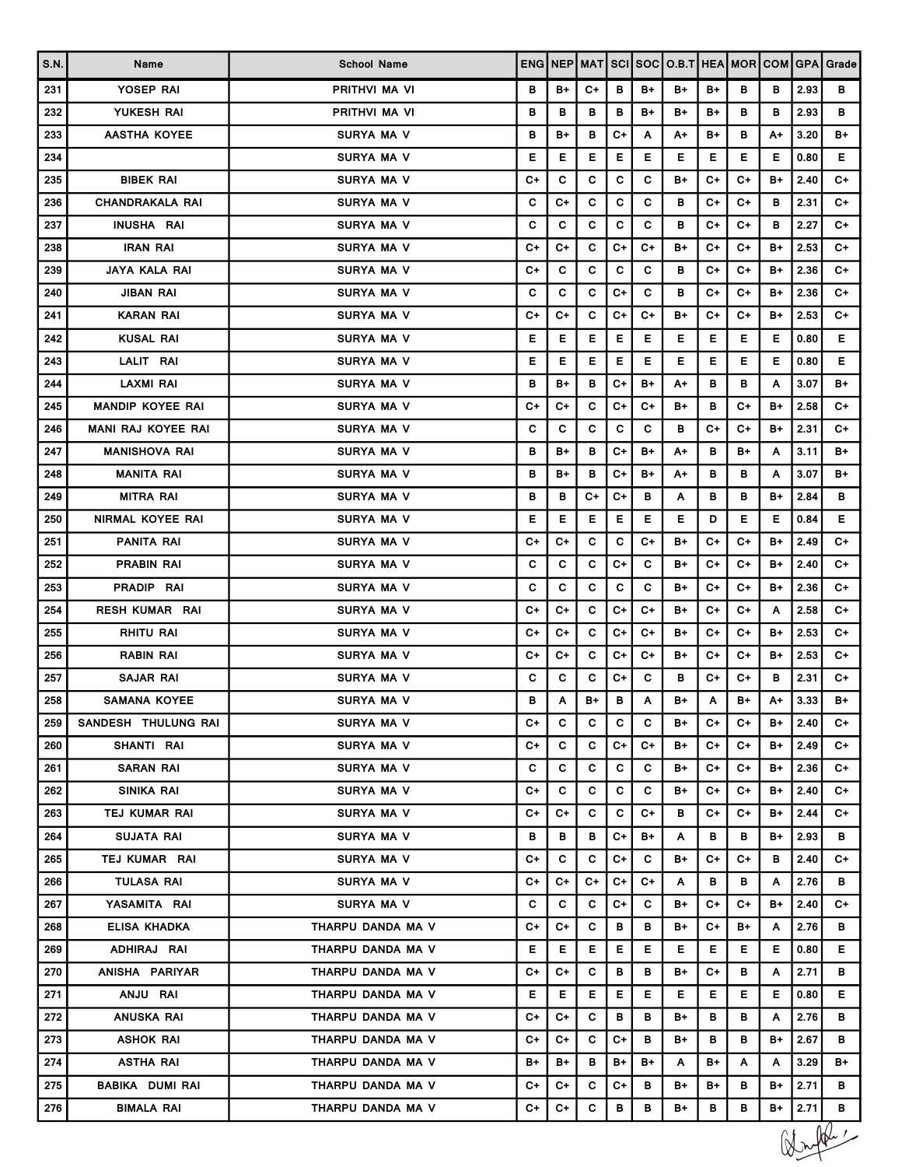| S.N. | Name                      | <b>School Name</b> |    |    |    |    |      | ENGINEPIMATISCISOCIO.B.TIHEAIMORICOMIGPA |    |    |    |      | Grade   |
|------|---------------------------|--------------------|----|----|----|----|------|------------------------------------------|----|----|----|------|---------|
| 231  | YOSEP RAI                 | PRITHVI MA VI      | в  | B+ | C+ | в  | B+   | B+                                       | B+ | в  | в  | 2.93 | в       |
| 232  | YUKESH RAI                | PRITHVI MA VI      | в  | в  | в  | в  | B+   | B+                                       | B+ | в  | в  | 2.93 | в       |
| 233  | <b>AASTHA KOYEE</b>       | <b>SURYA MA V</b>  | в  | B+ | в  | C+ | A    | A+                                       | B+ | в  | A+ | 3.20 | B+      |
| 234  |                           | <b>SURYA MA V</b>  | Е  | Е  | Е  | Е. | Е.   | Е                                        | Е  | Е  | Е  | 0.80 | Е.      |
| 235  | <b>BIBEK RAI</b>          | SURYA MA V         | C+ | С  | C  | C  | C    | B+                                       | C+ | C+ | B+ | 2.40 | C+      |
| 236  | <b>CHANDRAKALA RAI</b>    | SURYA MA V         | С  | C+ | c  | С  | С    | в                                        | C+ | C+ | в  | 2.31 | C+      |
| 237  | INUSHA RAI                | SURYA MA V         | С  | C  | C  | C  | C    | в                                        | C+ | C+ | в  | 2.27 | C+      |
| 238  | IRAN RAI                  | SURYA MA V         | C+ | C+ | c  | C+ | C+   | B+                                       | C+ | C+ | B+ | 2.53 | C+      |
| 239  | JAYA KALA RAI             | <b>SURYA MA V</b>  | C+ | С  | C  | C  | C    | в                                        | C+ | C+ | B+ | 2.36 | C+      |
| 240  | <b>JIBAN RAI</b>          | SURYA MA V         | С  | С  | c  | C+ | C    | в                                        | C+ | C+ | B+ | 2.36 | C+      |
| 241  | <b>KARAN RAI</b>          | <b>SURYA MA V</b>  | C+ | C+ | C  | C+ | $C+$ | B+                                       | C+ | C+ | B+ | 2.53 | C+      |
| 242  | <b>KUSAL RAI</b>          | <b>SURYA MA V</b>  | Е  | Е  | Е  | Е  | Е.   | Е                                        | Е  | Е  | Е  | 0.80 | Е       |
| 243  | LALIT RAI                 | SURYA MA V         | Е  | Е  | Е  | Е. | Е.   | Е                                        | Е  | Е  | Е  | 0.80 | Е.      |
| 244  | LAXMI RAI                 | SURYA MA V         | в  | B+ | в  | C+ | B+   | A+                                       | в  | В  | Α  | 3.07 | B+      |
| 245  | <b>MANDIP KOYEE RAI</b>   | SURYA MA V         | C+ | C+ | c  | C+ | $C+$ | B+                                       | в  | C+ | B+ | 2.58 | C+      |
| 246  | <b>MANI RAJ KOYEE RAI</b> | <b>SURYA MA V</b>  | c  | C  | C  | C  | C    | в                                        | C+ | C+ | B+ | 2.31 | C+      |
| 247  | <b>MANISHOVA RAI</b>      | <b>SURYA MA V</b>  | в  | B+ | в  | C+ | B+   | A+                                       | в  | B+ | Α  | 3.11 | B+      |
| 248  | MANITA RAI                | SURYA MA V         | в  | B+ | в  | C+ | B+   | A+                                       | в  | в  | Α  | 3.07 | B+      |
| 249  | <b>MITRA RAI</b>          | SURYA MA V         | в  | в  | C+ | C+ | в    | Α                                        | в  | в  | B+ | 2.84 | В       |
| 250  | NIRMAL KOYEE RAI          | <b>SURYA MA V</b>  | Е  | Е  | Е  | Е  | Е    | Е                                        | D  | Е  | Е  | 0.84 | Е       |
| 251  | <b>PANITA RAI</b>         | SURYA MA V         | C+ | C+ | c  | C  | C+   | B+                                       | C+ | C+ | B+ | 2.49 | C+      |
| 252  | PRABIN RAI                | SURYA MA V         | С  | C  | c  | C+ | c    | B+                                       | C+ | C+ | B+ | 2.40 | C+      |
| 253  | PRADIP RAI                | SURYA MA V         | С  | С  | C  | C  | C    | B+                                       | C+ | C+ | B+ | 2.36 | C+      |
| 254  | RESH KUMAR RAI            | SURYA MA V         | C+ | C+ | C  | C+ | $C+$ | B+                                       | C+ | C+ | Α  | 2.58 | C+      |
| 255  | RHITU RAI                 | SURYA MA V         | C+ | C+ | C  | C+ | $C+$ | B+                                       | C+ | C+ | B+ | 2.53 | C+      |
| 256  | <b>RABIN RAI</b>          | SURYA MA V         | C+ | C+ | C  | C+ | C+   | B+                                       | C+ | C+ | B+ | 2.53 | C+      |
| 257  | <b>SAJAR RAI</b>          | SURYA MA V         | c  | C  | C  | C+ | C    | в                                        | C+ | C+ | в  | 2.31 | C+      |
| 258  | <b>SAMANA KOYEE</b>       | SURYA MA V         | в  | Α  | B+ | в  | Α    | B+                                       | Α  | B+ | A+ | 3.33 | B+      |
| 259  | SANDESH THULUNG RAI       | SURYA MA V         | C+ | С  | C  | С  | C    | B+                                       | C+ | C+ | B+ | 2.40 | C+      |
| 260  | SHANTI RAI                | SURYA MA V         | C+ | С  | C  | C+ | C+   | B+                                       | C+ | C+ | B+ | 2.49 | C+      |
| 261  | <b>SARAN RAI</b>          | SURYA MA V         | С  | С  | c  | C  | C    | B+                                       | C+ | C+ | B+ | 2.36 | C+      |
| 262  | SINIKA RAI                | SURYA MA V         | C+ | C  | C  | C  | C    | B+                                       | C+ | C+ | B+ | 2.40 | C+      |
| 263  | TEJ KUMAR RAI             | SURYA MA V         | C+ | C+ | C  | C  | C+   | в                                        | C+ | C+ | B+ | 2.44 | C+      |
| 264  | SUJATA RAI                | SURYA MA V         | в  | в  | в  | C+ | B+   | A                                        | в  | в  | B+ | 2.93 | В       |
| 265  | TEJ KUMAR RAI             | SURYA MA V         | C+ | С  | C  | C+ | C    | B+                                       | C+ | C+ | в  | 2.40 | C+      |
| 266  | TULASA RAI                | SURYA MA V         | C+ | C+ | C+ | C+ | $C+$ | A                                        | В  | в  | Α  | 2.76 | в       |
| 267  | YASAMITA RAI              | SURYA MA V         | С  | C  | C  | C+ | C    | B+                                       | C+ | C+ | B+ | 2.40 | C+      |
| 268  | ELISA KHADKA              | THARPU DANDA MA V  | C+ | C+ | C  | в  | в    | B+                                       | C+ | B+ | A  | 2.76 | в       |
| 269  | ADHIRAJ RAI               | THARPU DANDA MA V  | Е. | Е  | Е. | Е. | Е.   | Е.                                       | Е  | Е. | Е. | 0.80 | Е.      |
| 270  | ANISHA PARIYAR            | THARPU DANDA MA V  | C+ | C+ | C  | в  | в    | B+                                       | C+ | В  | A  | 2.71 | в       |
| 271  | ANJU RAI                  | THARPU DANDA MA V  | Е. | Е  | Е  | Е. | Е.   | Е.                                       | Е. | Е. | Е. | 0.80 | Е.      |
| 272  | ANUSKA RAI                | THARPU DANDA MA V  | C+ | C+ | C  | в  | в    | B+                                       | в  | в  | Α  | 2.76 | в       |
| 273  | ASHOK RAI                 | THARPU DANDA MA V  | C+ | C+ | C  | C+ | в    | B+                                       | в  | в  | B+ | 2.67 | в       |
| 274  | ASTHA RAI                 | THARPU DANDA MA V  | B+ | B+ | в  | B+ | B+   | A                                        | B+ | Α  | A  | 3.29 | B+      |
| 275  | BABIKA DUMI RAI           | THARPU DANDA MA V  | C+ | C+ | C  | C+ | в    | B+                                       | B+ | В  | B+ | 2.71 | в       |
| 276  | <b>BIMALA RAI</b>         | THARPU DANDA MA V  | C+ | C+ | C  | в  | в    | B+                                       | в  | В  | B+ | 2.71 | в       |
|      |                           |                    |    |    |    |    |      |                                          |    |    |    |      | Winters |